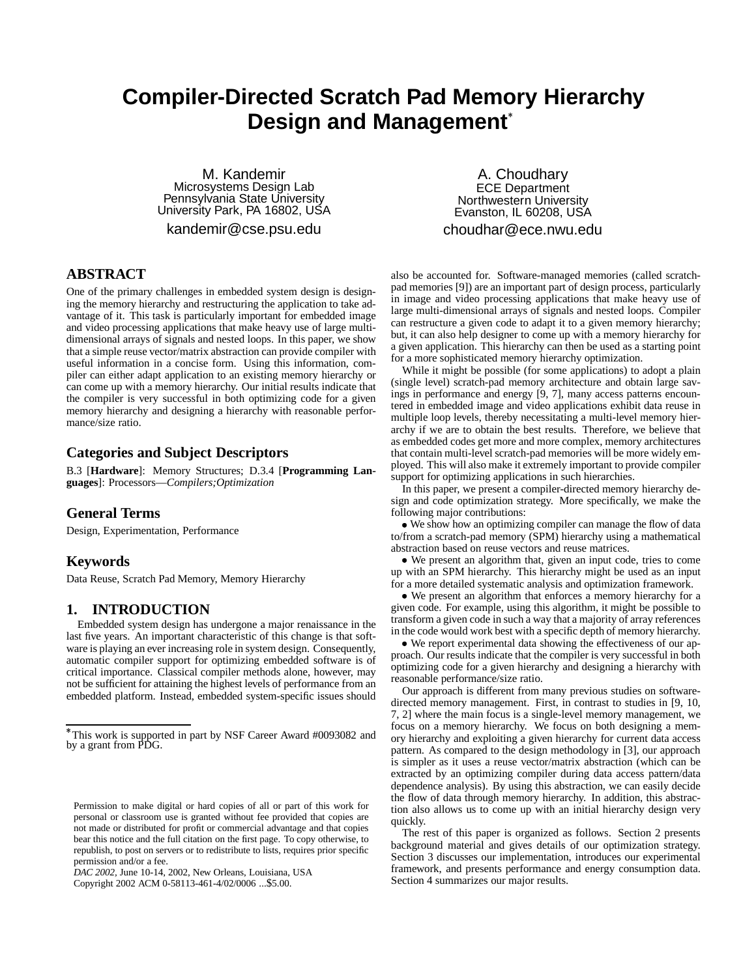# **Compiler-Directed Scratch Pad Memory Hierarchy Design and Management**

M. Kandemir Microsystems Design Lab Pennsylvania State University University Park, PA 16802, USA

kandemir@cse.psu.edu

A. Choudhary ECE Department Northwestern University Evanston, IL 60208, USA choudhar@ece.nwu.edu

# **ABSTRACT**

One of the primary challenges in embedded system design is designing the memory hierarchy and restructuring the application to take advantage of it. This task is particularly important for embedded image and video processing applications that make heavy use of large multidimensional arrays of signals and nested loops. In this paper, we show that a simple reuse vector/matrix abstraction can provide compiler with useful information in a concise form. Using this information, compiler can either adapt application to an existing memory hierarchy or can come up with a memory hierarchy. Our initial results indicate that the compiler is very successful in both optimizing code for a given memory hierarchy and designing a hierarchy with reasonable performance/size ratio.

# **Categories and Subject Descriptors**

B.3 [**Hardware**]: Memory Structures; D.3.4 [**Programming Languages**]: Processors—*Compilers;Optimization*

## **General Terms**

Design, Experimentation, Performance

## **Keywords**

Data Reuse, Scratch Pad Memory, Memory Hierarchy

# **1. INTRODUCTION**

Embedded system design has undergone a major renaissance in the last five years. An important characteristic of this change is that software is playing an ever increasing role in system design. Consequently, automatic compiler support for optimizing embedded software is of critical importance. Classical compiler methods alone, however, may not be sufficient for attaining the highest levels of performance from an embedded platform. Instead, embedded system-specific issues should

Copyright 2002 ACM 0-58113-461-4/02/0006 ...\$5.00.

also be accounted for. Software-managed memories (called scratchpad memories [9]) are an important part of design process, particularly in image and video processing applications that make heavy use of large multi-dimensional arrays of signals and nested loops. Compiler can restructure a given code to adapt it to a given memory hierarchy; but, it can also help designer to come up with a memory hierarchy for a given application. This hierarchy can then be used as a starting point for a more sophisticated memory hierarchy optimization.

While it might be possible (for some applications) to adopt a plain (single level) scratch-pad memory architecture and obtain large savings in performance and energy [9, 7], many access patterns encountered in embedded image and video applications exhibit data reuse in multiple loop levels, thereby necessitating a multi-level memory hierarchy if we are to obtain the best results. Therefore, we believe that as embedded codes get more and more complex, memory architectures that contain multi-level scratch-pad memories will be more widely employed. This will also make it extremely important to provide compiler support for optimizing applications in such hierarchies.

In this paper, we present a compiler-directed memory hierarchy design and code optimization strategy. More specifically, we make the following major contributions:

 We show how an optimizing compiler can manage the flow of data to/from a scratch-pad memory (SPM) hierarchy using a mathematical abstraction based on reuse vectors and reuse matrices.

 We present an algorithm that, given an input code, tries to come up with an SPM hierarchy. This hierarchy might be used as an input for a more detailed systematic analysis and optimization framework.

 We present an algorithm that enforces a memory hierarchy for a given code. For example, using this algorithm, it might be possible to transform a given code in such a way that a majority of array references in the code would work best with a specific depth of memory hierarchy.

 We report experimental data showing the effectiveness of our approach. Our results indicate that the compiler is very successful in both optimizing code for a given hierarchy and designing a hierarchy with reasonable performance/size ratio.

Our approach is different from many previous studies on softwaredirected memory management. First, in contrast to studies in [9, 10, 7, 2] where the main focus is a single-level memory management, we focus on a memory hierarchy. We focus on both designing a memory hierarchy and exploiting a given hierarchy for current data access pattern. As compared to the design methodology in [3], our approach is simpler as it uses a reuse vector/matrix abstraction (which can be extracted by an optimizing compiler during data access pattern/data dependence analysis). By using this abstraction, we can easily decide the flow of data through memory hierarchy. In addition, this abstraction also allows us to come up with an initial hierarchy design very quickly.

The rest of this paper is organized as follows. Section 2 presents background material and gives details of our optimization strategy. Section 3 discusses our implementation, introduces our experimental framework, and presents performance and energy consumption data. Section 4 summarizes our major results.

This work is supported in part by NSF Career Award #0093082 and by a grant from PDG.

Permission to make digital or hard copies of all or part of this work for personal or classroom use is granted without fee provided that copies are not made or distributed for profit or commercial advantage and that copies bear this notice and the full citation on the first page. To copy otherwise, to republish, to post on servers or to redistribute to lists, requires prior specific permission and/or a fee.

*DAC 2002,* June 10-14, 2002, New Orleans, Louisiana, USA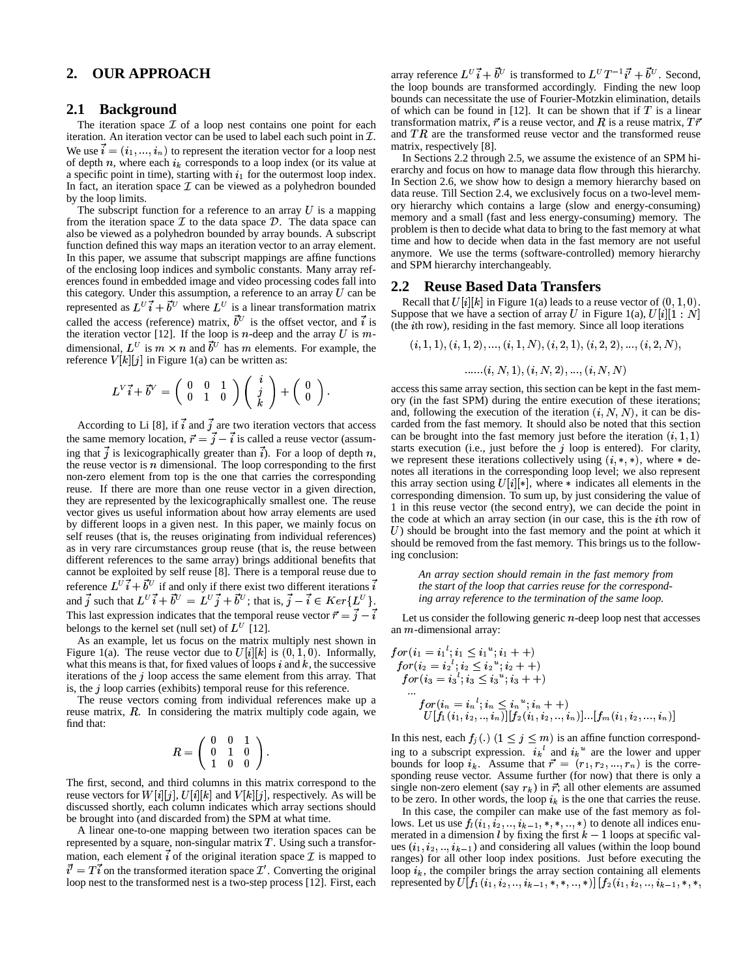# **2. OUR APPROACH**

#### **2.1 Background**

The iteration space  $\mathcal I$  of a loop nest contains one point for each iteration. An iteration vector can be used to label each such point in  $\mathcal{I}$ . and TR are We use  $\vec{i} = (i_1, ..., i_n)$  to represent the iteration vector for a loop nest of depth n, where each  $i_k$  corresponds to a loop index (or its value at a specific point in time), starting with  $i_1$  for the outermost loop index. In fact, an iteration space  $\mathcal I$  can be viewed as a polyhedron bounded by the loop limits.

The subscript function for a reference to an array  $U$  is a mapping from the iteration space  $\mathcal I$  to the data space  $\mathcal D$ . The data space can also be viewed as a polyhedron bounded by array bounds. A subscript function defined this way maps an iteration vector to an array element. In this paper, we assume that subscript mappings are affine functions of the enclosing loop indices and symbolic constants. Many array references found in embedded image and video processing codes fall into the effect of this category. Under this assumption, a reference to an array  $U$  can be represented as  $L^U \vec{i} + \vec{b}^U$  where  $L^U$  is a linear transformation matrix called the access (reference) matrix,  $\vec{b}^U$  is the offset vector, and  $\vec{i}$  is the iteration vector [12]. If the loop is *n*-deep and the array  $U$  is  $m$ dimensional,  $L^U$  is  $m \times n$  and  $\vec{b}^U$  has m elements. For example, the reference  $V[k][j]$  in Figure 1(a) can be written as:

$$
L^V \vec{i} + \vec{b}^V = \left(\begin{array}{cc} 0 & 0 & 1 \\ 0 & 1 & 0 \end{array}\right) \left(\begin{array}{c} i \\ j \\ k \end{array}\right) + \left(\begin{array}{c} 0 \\ 0 \end{array}\right).
$$

According to Li [8], if  $\vec{i}$  and  $\vec{j}$  are two iteration vectors that access the same memory location,  $\vec{r} = \vec{j} - \vec{i}$  is called a re  $\vec{i}$  is called a reuse vector (assuming that  $\vec{j}$  is lexicographically greater than  $\vec{i}$ ). For a loop of depth n, the reuse vector is  $n$  dimensional. The loop corresponding to the first non-zero element from top is the one that carries the corresponding reuse. If there are more than one reuse vector in a given direction, they are represented by the lexicographically smallest one. The reuse vector gives us useful information about how array elements are used by different loops in a given nest. In this paper, we mainly focus on self reuses (that is, the reuses originating from individual references) as in very rare circumstances group reuse (that is, the reuse between different references to the same array) brings additional benefits that cannot be exploited by self reuse [8]. There is a temporal reuse due to reference  $L^U \vec{i} + \vec{b}^U$  if and only if there exist two different iterations  $\vec{i}$  there and  $\vec{j}$  such that  $L^U \vec{i} + \vec{b}^U = L^U \vec{j} + \vec{b}^U$ ; that  $\vec{j} + \vec{b}^U$ ; that is,  $\vec{j} - \vec{i} \in Ker{L^U}$ .  $i$ This last expression indicates that the temporal reuse vector  $\vec{r} = \vec{j} - \vec{i}$  Let belongs to the kernel set (null set) of  $L^U$  [12].

As an example, let us focus on the matrix multiply nest shown in Figure 1(a). The reuse vector due to  $U[i][k]$  is  $(0, 1, 0)$ . Informally, what this means is that, for fixed values of loops  $i$  and  $k$ , the successive iterations of the  $j$  loop access the same element from this array. That is, the  $j$  loop carries (exhibits) temporal reuse for this reference.

The reuse vectors coming from individual references make up a reuse matrix,  $R$ . In considering the matrix multiply code again, we find that:

$$
R = \left(\begin{array}{ccc} 0 & 0 & 1 \\ 0 & 1 & 0 \\ 1 & 0 & 0 \end{array}\right).
$$

The first, second, and third columns in this matrix correspond to the reuse vectors for  $W[i][j], U[i][k]$  and  $V[k][j]$ , respectively. As will be discussed shortly, each column indicates which array sections should be brought into (and discarded from) the SPM at what time.

A linear one-to-one mapping between two iteration spaces can be represented by a square, non-singular matrix  $T$ . Using such a transformation, each element  $\vec{i}$  of the original iteration space  $\mathcal I$  is mapped to - UTChina and UTChina and UTChina and UTChina and UTChina and UTChina and UTChina and UTChina and UTChina and UTChina and UTChina and UTChina and UTChina and UTChina and UTChina and UTChina and UTChina and UTChina and UTCh  $\vec{i}$  on the transformed iteration space  $\mathcal{I}'$ . Converting the original loop nest to the transformed nest is a two-step process [12]. First, each

array reference  $L^U \vec{i} + \vec{b}^U$  is transformed to  $L^U T^{-1} \vec{i'} + \vec{b}^U$ . Second, the loop bounds are transformed accordingly. Finding the new loop bounds can necessitate the use of Fourier-Motzkin elimination, details of which can be found in [12]. It can be shown that if  $T$  is a linear transformation matrix,  $\vec{r}$  is a reuse vector, and R is a reuse matrix,  $T\vec{r}$  and  $TR$  are the transformed reuse vector and the transformed reuse matrix, respectively [8].

In Sections 2.2 through 2.5, we assume the existence of an SPM hierarchy and focus on how to manage data flow through this hierarchy. In Section 2.6, we show how to design a memory hierarchy based on data reuse. Till Section 2.4, we exclusively focus on a two-level memory hierarchy which contains a large (slow and energy-consuming) memory and a small (fast and less energy-consuming) memory. The problem is then to decide what data to bring to the fast memory at what time and how to decide when data in the fast memory are not useful anymore. We use the terms (software-controlled) memory hierarchy and SPM hierarchy interchangeably.

#### **2.2 Reuse Based Data Transfers**

Suppose that we have a section of array U in Figure 1(a),  $U[i][1:N]$ Recall that  $U[i][k]$  in Figure 1(a) leads to a reuse vector of  $(0, 1, 0)$ . (the *i*th row), residing in the fast memory. Since all loop iterations

$$
(i, 1, 1), (i, 1, 2), ..., (i, 1, N), (i, 2, 1), (i, 2, 2), ..., (i, 2, N),
$$

$$
......(i,N,1), (i,N,2), ..., (i,N,N)
$$

access this same array section, this section can be kept in the fast memory (in the fast SPM) during the entire execution of these iterations; and, following the execution of the iteration  $(i, N, N)$ , it can be discarded from the fast memory. It should also be noted that this section can be brought into the fast memory just before the iteration  $(i, 1, 1)$ starts execution (i.e., just before the  $j$  loop is entered). For clarity, we represent these iterations collectively using  $(i, *, *)$ , where  $*$  denotes all iterations in the corresponding loop level; we also represent this array section using  $U[i][*]$ , where  $*$  indicates all elements in the corresponding dimension. To sum up, by just considering the value of 1 in this reuse vector (the second entry), we can decide the point in the code at which an array section (in our case, this is the  $i$ th row of  $U$ ) should be brought into the fast memory and the point at which it should be removed from the fast memory. This brings us to the following conclusion:

*An array section should remain in the fast memory from the start of the loop that carries reuse for the corresponding array reference to the termination of the same loop.*

 $J - i$  Let us consider the following generic *n*-deep loop nest that accesses an  $m$ -dimensional array:

$$
for (i_1 = i_11; i_1 \le i_1u; i_1 ++)
$$
  
\n
$$
for (i_2 = i_21; i_2 \le i_2u; i_2 ++)
$$
  
\n
$$
for (i_3 = i_31; i_3 \le i_3u; i_3 ++)
$$
  
\n...  
\n
$$
for (i_n = i_n1; i_n \le i_nu; i_n ++)
$$
  
\n
$$
U[f_1(i_1, i_2, ..., i_n)][f_2(i_1, i_2, ..., i_n)]...[f_m(i_1, i_2, ..., i_n)]
$$

fhg -

In this nest, each  $f_j(.)$   $(1 \leq j \leq m)$  is an affine function corresponding to a subscript expression.  $i_k^{\ d}$  and  $i_k^{\ u}$  are the lower and upper bounds for loop  $i_k$ . Assume that  $\vec{r} = (r_1, r_2, ..., r_n)$  is the corresponding reuse vector. Assume further (for now) that there is only a single non-zero element (say  $r_k$ ) in  $\vec{r}$ ; all other elements are assumed to be zero. In other words, the loop  $i_k$  is the one that carries the reuse.

In this case, the compiler can make use of the fast memory as follows. Let us use  $f_l(i_1, i_2, \ldots, i_{k-1}, *, *, \ldots, *)$  to denote all indices enu- hlmerated in a dimension  $l$  by fixing the first  $k-1$  loops at specific values  $(i_1, i_2, ..., i_{k-1})$  and considering all values (within the loop bound ranges) for all other loop index positions. Just before executing the loop  $i_k$ , the compiler brings the array section containing all elements represented by  $U[f_1(i_1,i_2,...,i_{k-1},*,*,...,*)]$   $[f_2(i_1,i_2,...,i_{k-1},*,*,$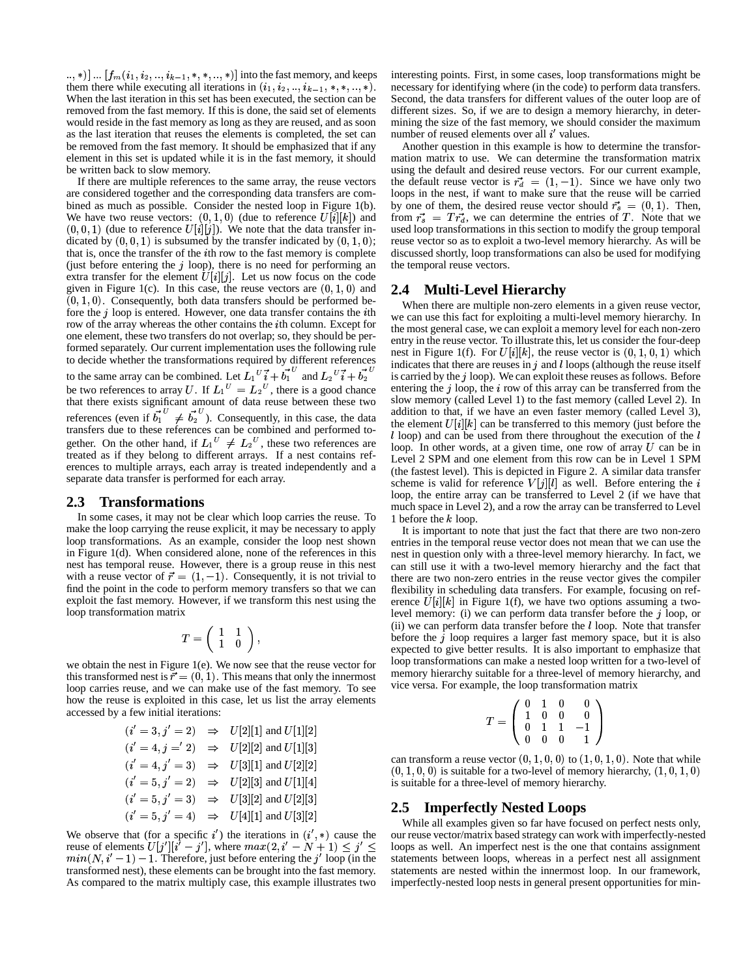..., \*)] ...  $[f_m(i_1, i_2, ..., i_{k-1}, *, *, ..., *)]$  into the fast memory, and keeps in them there while executing all iterations in  $(i_1, i_2, ..., i_{k-1}, *, *, ..., *)$ . <sup>V</sup> When the last iteration in this set has been executed, the section can be removed from the fast memory. If this is done, the said set of elements would reside in the fast memory as long as they are reused, and as soon as the last iteration that reuses the elements is completed, the set can be removed from the fast memory. It should be emphasized that if any element in this set is updated while it is in the fast memory, it should be written back to slow memory.

If there are multiple references to the same array, the reuse vectors are considered together and the corresponding data transfers are combined as much as possible. Consider the nested loop in Figure 1(b). We have two reuse vectors:  $(0, 1, 0)$  (due to reference  $U[i][k]$ ) and  $(0, 0, 1)$  (due to reference  $U[i][j])$ . We note that the data transfer indicated by  $(0, 0, 1)$  is subsumed by the transfer indicated by  $(0, 1, 0)$ ; that is, once the transfer of the  $i$ th row to the fast memory is complete (just before entering the  $j$  loop), there is no need for performing an extra transfer for the element  $\hat{U}[i][j]$ . Let us now focus on the code given in Figure 1(c). In this case, the reuse vectors are  $(0, 1, 0)$  and  $\gamma$  $(0, 1, 0)$ . Consequently, both data transfers should be performed before the  $j$  loop is entered. However, one data transfer contains the *i*th row of the array whereas the other contains the *i*th column. Except for one element, these two transfers do not overlap; so, they should be performed separately. Our current implementation uses the following rule to decide whether the transformations required by different references to the same array can be combined. Let  $L_1^U \vec{i} + \vec{b_1}^U$  and  $\vec{i} + \vec{b_1}^{\prime}$  and  $L_2^U \vec{i} + \vec{b_2}^U$  -<sup>0</sup> <sup>l</sup> be two references to array U. If  $L_1^U = L_2^U$ , there is a  $2^U$ , there is a good chance that there exists significant amount of data reuse between these two references (even if  $\vec{b_1}^{\prime\prime} \neq \vec{b_2}^{\prime\prime}$ ). Consequently, in this case, the data transfers due to these references can be combined and performed together. On the other hand, if  $L_1^U \neq L_2^U$ , these two references are treated as if they belong to different arrays. If a nest contains references to multiple arrays, each array is treated independently and a separate data transfer is performed for each array.

# **2.3 Transformations**

In some cases, it may not be clear which loop carries the reuse. To make the loop carrying the reuse explicit, it may be necessary to apply loop transformations. As an example, consider the loop nest shown in Figure 1(d). When considered alone, none of the references in this nest has temporal reuse. However, there is a group reuse in this nest with a reuse vector of  $\vec{r} = (1, -1)$ . Consequently, it is not trivial to find the point in the code to perform memory transfers so that we can exploit the fast memory. However, if we transform this nest using the loop transformation matrix

$$
T=\left(\begin{array}{cc} 1 & 1 \\ 1 & 0 \end{array}\right),
$$

we obtain the nest in Figure 1(e). We now see that the reuse vector for this transformed nest is  $\vec{r} = (0, 1)$ . This means that only the innermost loop carries reuse, and we can make use of the fast memory. To see how the reuse is exploited in this case, let us list the array elements accessed by a few initial iterations:

$$
(i' = 3, j' = 2) \Rightarrow U[2][1] \text{ and } U[1][2]
$$
  
\n
$$
(i' = 4, j = 2) \Rightarrow U[2][2] \text{ and } U[1][3]
$$
  
\n
$$
(i' = 4, j' = 3) \Rightarrow U[3][1] \text{ and } U[2][2]
$$
  
\n
$$
(i' = 5, j' = 2) \Rightarrow U[2][3] \text{ and } U[1][4]
$$
  
\n
$$
(i' = 5, j' = 3) \Rightarrow U[3][2] \text{ and } U[2][3]
$$
  
\n
$$
(i' = 5, j' = 4) \Rightarrow U[4][1] \text{ and } U[3][2]
$$

We observe that (for a specific i') the iterations in  $(i',*)$  cause the reuse of elements  $U[j']$   $[i'-j']$ <sup>A</sup> ,  $T'$ , where  $max(2, i' - N + 1) \le j' \le 1$  loops , "  $n(N, i' - 1) - 1$ . Therefore, just before entering the j' loop (in the transformed nest), these elements can be brought into the fast memory. As compared to the matrix multiply case, this example illustrates two

 necessary for identifying where (in the code) to perform data transfers. interesting points. First, in some cases, loop transformations might be Second, the data transfers for different values of the outer loop are of different sizes. So, if we are to design a memory hierarchy, in determining the size of the fast memory, we should consider the maximum number of reused elements over all  $i'$  values.

0); reuse vector so as to exploit a two-level memory hierarchy. As will be Another question in this example is how to determine the transformation matrix to use. We can determine the transformation matrix using the default and desired reuse vectors. For our current example, the default reuse vector is  $\vec{r}_d = (1, -1)$ . Since we have only two loops in the nest, if want to make sure that the reuse will be carried by one of them, the desired reuse vector should  $\vec{r}_s = (0, 1)$ . Then, from  $\vec{r}_s = T \vec{r}_d$ , we can determine the entries of T. Note that we used loop transformations in this section to modify the group temporal discussed shortly, loop transformations can also be used for modifying the temporal reuse vectors.

#### **2.4 Multi-Level Hierarchy**

is carried by the  $j$  loop). We can exploit these reuses as follows. Before When there are multiple non-zero elements in a given reuse vector, we can use this fact for exploiting a multi-level memory hierarchy. In the most general case, we can exploit a memory level for each non-zero entry in the reuse vector. To illustrate this, let us consider the four-deep nest in Figure 1(f). For  $U[i][k]$ , the reuse vector is  $(0, 1, 0, 1)$  which indicates that there are reuses in  $j$  and  $l$  loops (although the reuse itself entering the  $j$  loop, the  $i$  row of this array can be transferred from the slow memory (called Level 1) to the fast memory (called Level 2). In addition to that, if we have an even faster memory (called Level 3), the element  $U[i][k]$  can be transferred to this memory (just before the  $l$  loop) and can be used from there throughout the execution of the  $l$ loop. In other words, at a given time, one row of array  $U$  can be in Level 2 SPM and one element from this row can be in Level 1 SPM (the fastest level). This is depicted in Figure 2. A similar data transfer scheme is valid for reference  $V[j][l]$  as well. Before entering the i loop, the entire array can be transferred to Level 2 (if we have that much space in Level 2), and a row the array can be transferred to Level 1 before the  $k$  loop.

It is important to note that just the fact that there are two non-zero entries in the temporal reuse vector does not mean that we can use the nest in question only with a three-level memory hierarchy. In fact, we can still use it with a two-level memory hierarchy and the fact that there are two non-zero entries in the reuse vector gives the compiler flexibility in scheduling data transfers. For example, focusing on ref erence  $\dot{U}[i][k]$  in Figure 1(f), we have two options assuming a twolevel memory: (i) we can perform data transfer before the  $j$  loop, or (ii) we can perform data transfer before the  $l$  loop. Note that transfer before the  $j$  loop requires a larger fast memory space, but it is also expected to give better results. It is also important to emphasize that loop transformations can make a nested loop written for a two-level of memory hierarchy suitable for a three-level of memory hierarchy, and vice versa. For example, the loop transformation matrix

$$
T=\left(\begin{array}{cccc} 0&1&0&0\\1&0&0&0\\0&1&1&-1\\0&0&0&1\end{array}\right)
$$

can transform a reuse vector  $(0, 1, 0, 0)$  to  $(1, 0, 1, 0)$ . Note that while  $(0, 1, 0, 0)$  is suitable for a two-level of memory hierarchy,  $(1, 0, 1, 0)$ is suitable for a three-level of memory hierarchy.

#### **2.5 Imperfectly Nested Loops**

i our reuse vector/matrix based strategy can work with imperfectly-nested While all examples given so far have focused on perfect nests only, loops as well. An imperfect nest is the one that contains assignment statements between loops, whereas in a perfect nest all assignment statements are nested within the innermost loop. In our framework, imperfectly-nested loop nests in general present opportunities for min-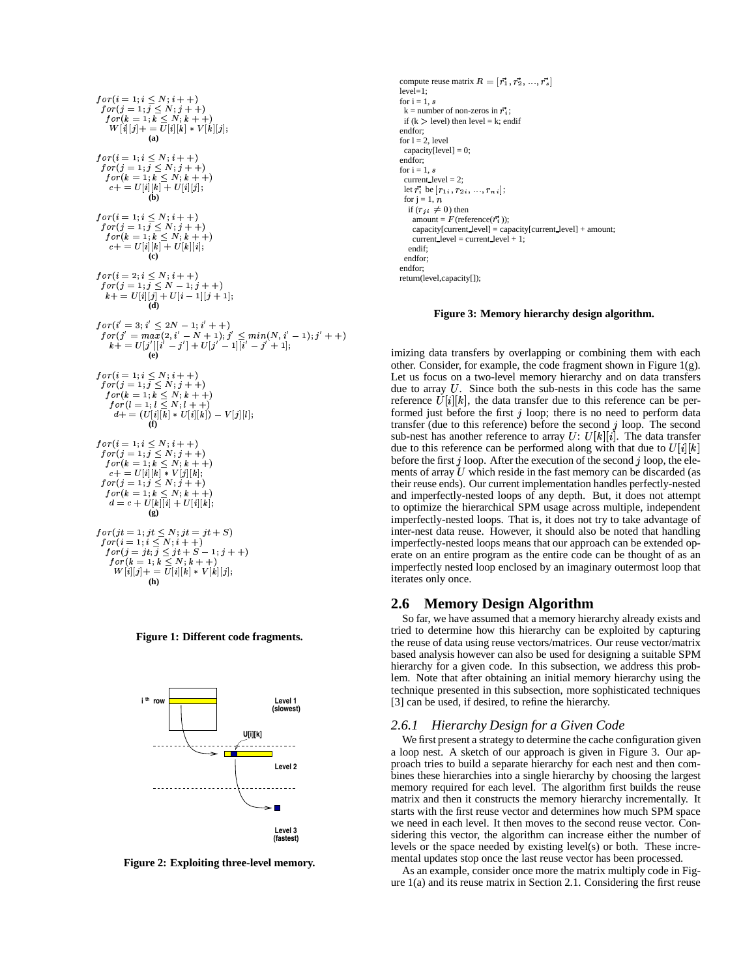

**Figure 1: Different code fragments.**



**Figure 2: Exploiting three-level memory.**

```
compute reuse matrix R = [\vec{r_1}, \vec{r_2}, ..., \vec{r_s}]level=1:
for i = 1, sk = number of non-zeros in \vec{r_i};
 if (k > level) then level = k; endif
endfor;
for l = 2, level
 capacity[level] = 0;
endfor;
for i = 1, scurrent level = 2;
  let \vec{r_i} be [r_{1i}, r_{2i}, ..., r_{ni}];for i = 1, nif (r_{j\,i}\,\neq 0) then
    amount = F(reference(\vec{r}_i));
    capacity[current level] = capacity[current level] + amount;
   current\_level = current\_level + 1;
  endif;
 endfor;
endfor;
return(level,capacity[]);
```
#### **Figure 3: Memory hierarchy design algorithm.**

imizing data transfers by overlapping or combining them with each other. Consider, for example, the code fragment shown in Figure 1(g). Let us focus on a two-level memory hierarchy and on data transfers due to array  $U$ . Since both the sub-nests in this code has the same reference  $\tilde{U}[i][k]$ , the data transfer due to this reference can be performed just before the first  $j$  loop; there is no need to perform data transfer (due to this reference) before the second *j* loop. The second sub-nest has another reference to array  $U: U[k][i]$ . The data transfer due to this reference can be performed along with that due to  $U[i][k]$ before the first  $j$  loop. After the execution of the second  $j$  loop, the elements of array  $U$  which reside in the fast memory can be discarded (as their reuse ends). Our current implementation handles perfectly-nested and imperfectly-nested loops of any depth. But, it does not attempt to optimize the hierarchical SPM usage across multiple, independent imperfectly-nested loops. That is, it does not try to take advantage of inter-nest data reuse. However, it should also be noted that handling imperfectly-nested loops means that our approach can be extended operate on an entire program as the entire code can be thought of as an imperfectly nested loop enclosed by an imaginary outermost loop that iterates only once.

#### **2.6 Memory Design Algorithm**

So far, we have assumed that a memory hierarchy already exists and tried to determine how this hierarchy can be exploited by capturing the reuse of data using reuse vectors/matrices. Our reuse vector/matrix based analysis however can also be used for designing a suitable SPM hierarchy for a given code. In this subsection, we address this problem. Note that after obtaining an initial memory hierarchy using the technique presented in this subsection, more sophisticated techniques [3] can be used, if desired, to refine the hierarchy.

#### *2.6.1 Hierarchy Design for a Given Code*

We first present a strategy to determine the cache configuration given a loop nest. A sketch of our approach is given in Figure 3. Our approach tries to build a separate hierarchy for each nest and then combines these hierarchies into a single hierarchy by choosing the largest memory required for each level. The algorithm first builds the reuse matrix and then it constructs the memory hierarchy incrementally. It starts with the first reuse vector and determines how much SPM space we need in each level. It then moves to the second reuse vector. Considering this vector, the algorithm can increase either the number of levels or the space needed by existing level(s) or both. These incremental updates stop once the last reuse vector has been processed.

As an example, consider once more the matrix multiply code in Figure 1(a) and its reuse matrix in Section 2.1. Considering the first reuse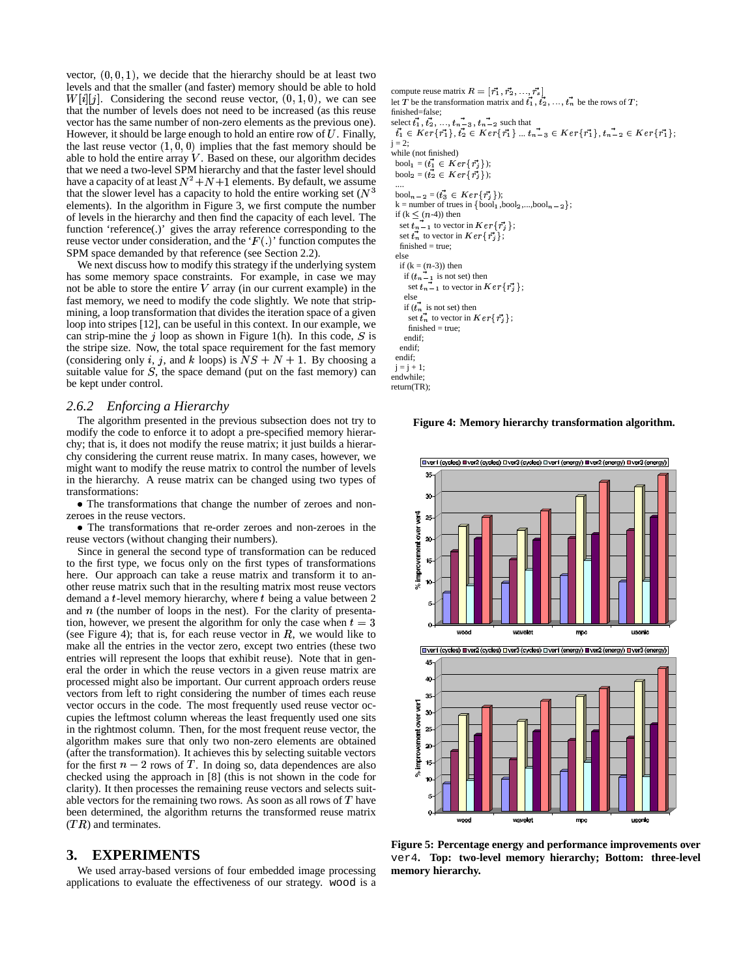vector,  $(0, 0, 1)$ , we decide that the hierarchy should be at least two levels and that the smaller (and faster) memory should be able to hold  $W[i][j]$ . Considering the second reuse vector,  $(0, 1, 0)$ , we can see that the number of levels does not need to be increased (as this reuse vector has the same number of non-zero elements as the previous one). However, it should be large enough to hold an entire row of  $U$ . Finally, the last reuse vector  $(1, 0, 0)$  implies that the fast memory should be able to hold the entire array  $V$ . Based on these, our algorithm decides that we need a two-level SPM hierarchy and that the faster level should <sup>l</sup> have a capacity of at least  $N^2 + N + 1$  elements. By default, we assume  $\frac{600}{300}$ that the slower level has a capacity to hold the entire working set  $(N^3)$ elements). In the algorithm in Figure 3, we first compute the number of levels in the hierarchy and then find the capacity of each level. The function 'reference(.)' gives the array reference corresponding to the reuse vector under consideration, and the ' $F(.)$ ' function computes the SPM space demanded by that reference (see Section 2.2).

We next discuss how to modify this strategy if the underlying system has some memory space constraints. For example, in case we may not be able to store the entire  $V$  array (in our current example) in the fast memory, we need to modify the code slightly. We note that stripmining, a loop transformation that divides the iteration space of a given loop into stripes [12], can be useful in this context. In our example, we can strip-mine the  $j$  loop as shown in Figure 1(h). In this code,  $S$  is the stripe size. Now, the total space requirement for the fast memory (considering only i, j, and k loops) is  $\overline{N}S + N + 1$ . By choosing a suitable value for  $S$ , the space demand (put on the fast memory) can be kept under control.

#### *2.6.2 Enforcing a Hierarchy*

The algorithm presented in the previous subsection does not try to modify the code to enforce it to adopt a pre-specified memory hierarchy; that is, it does not modify the reuse matrix; it just builds a hierarchy considering the current reuse matrix. In many cases, however, we might want to modify the reuse matrix to control the number of levels in the hierarchy. A reuse matrix can be changed using two types of transformations:

 The transformations that change the number of zeroes and nonzeroes in the reuse vectors.

 The transformations that re-order zeroes and non-zeroes in the reuse vectors (without changing their numbers).

Since in general the second type of transformation can be reduced to the first type, we focus only on the first types of transformations here. Our approach can take a reuse matrix and transform it to another reuse matrix such that in the resulting matrix most reuse vectors demand a  $t$ -level memory hierarchy, where  $t$  being a value between  $2$ and  $n$  (the number of loops in the nest). For the clarity of presentation, however, we present the algorithm for only the case when  $t = 3$ (see Figure 4); that is, for each reuse vector in  $R$ , we would like to make all the entries in the vector zero, except two entries (these two entries will represent the loops that exhibit reuse). Note that in general the order in which the reuse vectors in a given reuse matrix are processed might also be important. Our current approach orders reuse vectors from left to right considering the number of times each reuse vector occurs in the code. The most frequently used reuse vector occupies the leftmost column whereas the least frequently used one sits in the rightmost column. Then, for the most frequent reuse vector, the algorithm makes sure that only two non-zero elements are obtained (after the transformation). It achieves this by selecting suitable vectors ^ for the first  $n-2$  rows of T. In doing so, data dependences are also checked using the approach in [8] (this is not shown in the code for clarity). It then processes the remaining reuse vectors and selects suitable vectors for the remaining two rows. As soon as all rows of  $T$  have been determined, the algorithm returns the transformed reuse matrix  $(TR)$  and terminates.

## **3. EXPERIMENTS**

We used array-based versions of four embedded image processing applications to evaluate the effectiveness of our strategy. wood is a

```
compute reuse matrix R = [r_1^*, r_2^*, \dots, r_s^*]let T be the transformation matrix and \vec{t_1}, \vec{t_2}, ..., \vec{t_n} be the rows of T;
finished=false;
select \vec{t_1}, \vec{t_2}, \ldots, \vec{t_{n-3}}, \vec{t_{n-2}} such that
  t_1^7 \in Ker\{\vec{r_1}\}, t_2^7 \in Ker\{\vec{r_1}\} \text{ ... } t_n^7 \geq 8 \in Ker\{\vec{r_1}\}, t_n^7 \geq 8 \in Ker\{\vec{r_1}\};i = 2;
while (not finished)
  bool<sub>1</sub> = (t_1 \in Ker\{\vec{r_j}\}\);
  bool<sub>2</sub> = (t_2 \in Ker\{\vec{r_j}\}\);
  ....
  bool<sub>n -2 = (\vec{t_3} \in Ker {\{\vec{r_1}\}});</sub>
  k = number of trues in \{bool_1, bool_2, \ldots, bool_n = 2\};
  if (k \leq (n-4)) then
   set t_n \rightarrow 1 to vector in Ker\{\vec{r_j}\};set \vec{t}_n to vector in Ker\{\vec{r}_j\};fini<sub>shed</sub> = true;else
   if (k = (n-3)) then
    if (t_n\vec{=}1) is not set) then
       set \vec{t}_{n-1} to vector in Ker\{\vec{r}_j\};else
     if (t_n) is not set) then
       set \vec{t}_n to vector in Ker\{\vec{r}_j\};fini<sub>shed</sub> = true;endif;
   endif;
  endif;
 j = j + 1;endwhile;
return(TR);
```
**Figure 4: Memory hierarchy transformation algorithm.**



**Figure 5: Percentage energy and performance improvements over** ver4**. Top: two-level memory hierarchy; Bottom: three-level memory hierarchy.**